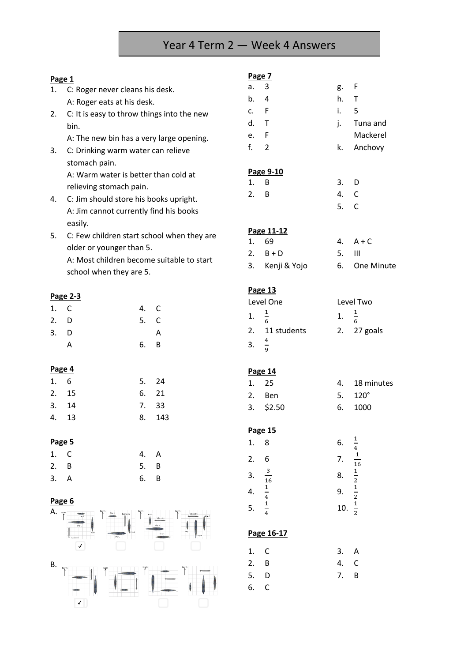## Year 4 Term 2 — Week 4 Answers

| Page 1                                       |                                                                        |    |              | Page 7         |               |              |                |
|----------------------------------------------|------------------------------------------------------------------------|----|--------------|----------------|---------------|--------------|----------------|
| 1.                                           | C: Roger never cleans his desk.                                        |    |              | a.             | 3             | g.           | F              |
|                                              | A: Roger eats at his desk.                                             |    |              | b.             | 4             | h.           | T              |
| 2.                                           | C: It is easy to throw things into the new                             |    |              | $\mathsf{C}$ . | F             | i.           | 5              |
|                                              | bin.                                                                   |    |              | d.             | T             | j.           | Tuna and       |
|                                              | A: The new bin has a very large opening.                               |    |              | e.             | F             |              | Mackerel       |
| 3.                                           | C: Drinking warm water can relieve                                     |    | f.           | $\overline{2}$ | k.            | Anchovy      |                |
|                                              | stomach pain.                                                          |    |              |                |               |              |                |
|                                              | A: Warm water is better than cold at                                   |    |              |                | Page 9-10     |              |                |
|                                              | relieving stomach pain.                                                |    |              | 1.             | B             | 3.           | D              |
| 4.                                           | C: Jim should store his books upright.                                 |    |              | 2.             | B             | 4.           | C              |
|                                              | A: Jim cannot currently find his books                                 |    |              |                | 5.            | $\mathsf{C}$ |                |
|                                              | easily.                                                                |    |              |                |               |              |                |
| 5.                                           |                                                                        |    |              |                | Page 11-12    |              |                |
|                                              | C: Few children start school when they are<br>older or younger than 5. |    |              | 1.             | 69            | 4.           | $A + C$        |
|                                              | A: Most children become suitable to start                              |    |              | 2.             | $B + D$       | 5.           | $\mathbf{III}$ |
|                                              | school when they are 5.                                                |    |              | 3.             | Kenji & Yojo  | 6.           | One Minute     |
|                                              |                                                                        |    |              |                |               |              |                |
|                                              | Page 2-3                                                               |    |              |                | Page 13       |              |                |
| 1.                                           | $\mathsf C$                                                            | 4. | $\mathsf{C}$ |                | Level One     |              | Level Two      |
| 2.                                           | D                                                                      | 5. | $\mathsf{C}$ | 1.             | $\frac{1}{6}$ | 1.           | $\frac{1}{6}$  |
| 3.                                           | D                                                                      |    | A            | 2.             | 11 students   | 2.           | 27 goals       |
|                                              | A                                                                      | 6. | B            | 3.             | $\frac{4}{9}$ |              |                |
|                                              |                                                                        |    |              |                |               |              |                |
| Page 4                                       |                                                                        |    |              |                |               |              |                |
| 1.                                           | 6                                                                      | 5. | 24           | 1.             | Page 14<br>25 | 4.           | 18 minutes     |
| 2.                                           | 15                                                                     | 6. | 21           |                |               |              | $120^\circ$    |
| 3.                                           | 14                                                                     | 7. | 33           | 2.             | Ben           | 5.           |                |
| 4.                                           | 13                                                                     | 8. | 143          | 3.             | \$2.50        | 6.           | 1000           |
|                                              |                                                                        |    |              |                | Page 15       |              |                |
| Page 5                                       |                                                                        |    |              | 1.             | 8             | 6.           |                |
| 1.                                           | $\mathsf C$                                                            | 4. | A            |                |               |              | $\frac{1}{4}$  |
| 2.                                           | $\sf B$                                                                | 5. | B            | 2.             | 6             | 7.           | $\frac{1}{16}$ |
| 3.                                           | A                                                                      | 6. | B            | 3.             | $\mathbf{3}$  | 8.           | $\frac{1}{2}$  |
|                                              |                                                                        |    |              |                | 16            |              |                |
| Page 6                                       |                                                                        |    |              | 4.             | $\frac{1}{4}$ | 9.           | $\frac{1}{2}$  |
| A. **                                        |                                                                        |    |              | 5.             | $\frac{1}{4}$ | 10.          | $\frac{1}{2}$  |
|                                              |                                                                        |    |              |                |               |              |                |
|                                              |                                                                        |    |              |                | Page 16-17    |              |                |
|                                              | $\checkmark$                                                           |    |              |                |               |              |                |
|                                              |                                                                        |    |              | 1.             | $\mathsf C$   | 3.           | Α              |
| <b>B.</b><br>$\frac{\text{North}}{\text{A}}$ |                                                                        |    |              | 2.             | B             | 4.           | $\mathsf{C}$   |
|                                              |                                                                        |    |              | 5.             | D             | 7.           | B              |
|                                              |                                                                        |    |              | 6.             | $\mathsf C$   |              |                |
|                                              | $\checkmark$                                                           |    |              |                |               |              |                |
|                                              |                                                                        |    |              |                |               |              |                |